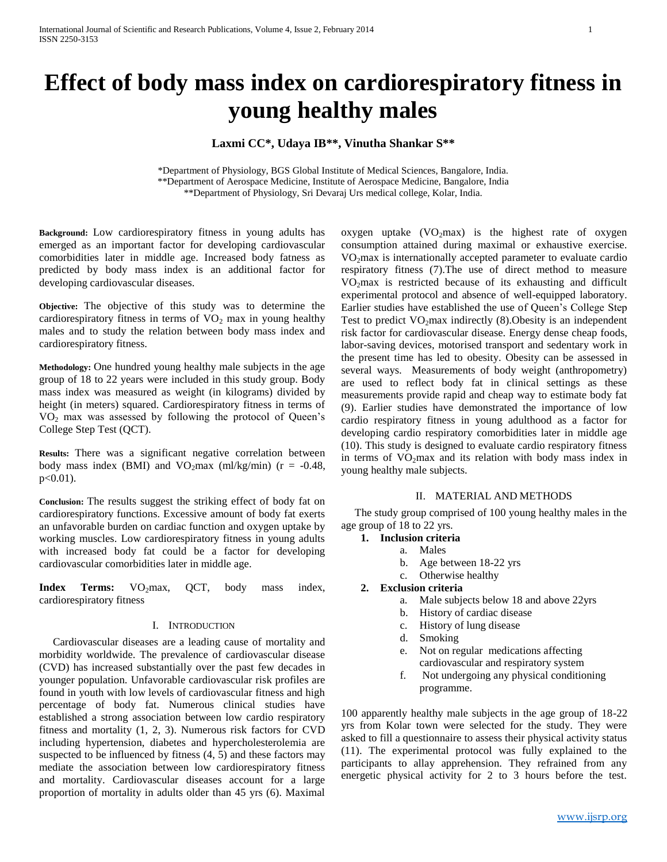# **Effect of body mass index on cardiorespiratory fitness in young healthy males**

# **Laxmi CC\*, Udaya IB\*\*, Vinutha Shankar S\*\***

\*Department of Physiology, BGS Global Institute of Medical Sciences, Bangalore, India. \*\*Department of Aerospace Medicine, Institute of Aerospace Medicine, Bangalore, India \*\*Department of Physiology, Sri Devaraj Urs medical college, Kolar, India.

**Background:** Low cardiorespiratory fitness in young adults has emerged as an important factor for developing cardiovascular comorbidities later in middle age. Increased body fatness as predicted by body mass index is an additional factor for developing cardiovascular diseases.

**Objective:** The objective of this study was to determine the cardiorespiratory fitness in terms of  $VO<sub>2</sub>$  max in young healthy males and to study the relation between body mass index and cardiorespiratory fitness.

**Methodology:** One hundred young healthy male subjects in the age group of 18 to 22 years were included in this study group. Body mass index was measured as weight (in kilograms) divided by height (in meters) squared. Cardiorespiratory fitness in terms of  $VO<sub>2</sub>$  max was assessed by following the protocol of Queen's College Step Test (QCT).

**Results:** There was a significant negative correlation between body mass index (BMI) and  $VO<sub>2</sub>$ max (ml/kg/min) (r = -0.48, p<0.01).

**Conclusion:** The results suggest the striking effect of body fat on cardiorespiratory functions. Excessive amount of body fat exerts an unfavorable burden on cardiac function and oxygen uptake by working muscles. Low cardiorespiratory fitness in young adults with increased body fat could be a factor for developing cardiovascular comorbidities later in middle age.

Index Terms: VO<sub>2</sub>max, QCT, body mass index, cardiorespiratory fitness

# I. INTRODUCTION

 Cardiovascular diseases are a leading cause of mortality and morbidity worldwide. The prevalence of cardiovascular disease (CVD) has increased substantially over the past few decades in younger population. Unfavorable cardiovascular risk profiles are found in youth with low levels of cardiovascular fitness and high percentage of body fat. Numerous clinical studies have established a strong association between low cardio respiratory fitness and mortality (1, 2, 3). Numerous risk factors for CVD including hypertension, diabetes and hypercholesterolemia are suspected to be influenced by fitness (4, 5) and these factors may mediate the association between low cardiorespiratory fitness and mortality. Cardiovascular diseases account for a large proportion of mortality in adults older than 45 yrs (6). Maximal

oxygen uptake  $(VO_2$ max) is the highest rate of oxygen consumption attained during maximal or exhaustive exercise. VO2max is internationally accepted parameter to evaluate cardio respiratory fitness (7).The use of direct method to measure  $VO<sub>2</sub>max$  is restricted because of its exhausting and difficult experimental protocol and absence of well-equipped laboratory. Earlier studies have established the use of Queen's College Step Test to predict  $VO<sub>2</sub>max$  indirectly (8). Obesity is an independent risk factor for cardiovascular disease. Energy dense cheap foods, labor-saving devices, motorised transport and sedentary work in the present time has led to obesity. Obesity can be assessed in several ways. Measurements of body weight (anthropometry) are used to reflect body fat in clinical settings as these measurements provide rapid and cheap way to estimate body fat (9). Earlier studies have demonstrated the importance of low cardio respiratory fitness in young adulthood as a factor for developing cardio respiratory comorbidities later in middle age (10). This study is designed to evaluate cardio respiratory fitness in terms of  $VO<sub>2</sub>max$  and its relation with body mass index in young healthy male subjects.

#### II. MATERIAL AND METHODS

 The study group comprised of 100 young healthy males in the age group of 18 to 22 yrs.

# **1. Inclusion criteria**

- a. Males
	- b. Age between 18-22 yrs
	- c. Otherwise healthy

# **2. Exclusion criteria**

- a. Male subjects below 18 and above 22yrs
- b. History of cardiac disease
- c. History of lung disease
- d. Smoking
- e. Not on regular medications affecting cardiovascular and respiratory system
- f. Not undergoing any physical conditioning programme.

100 apparently healthy male subjects in the age group of 18-22 yrs from Kolar town were selected for the study. They were asked to fill a questionnaire to assess their physical activity status (11). The experimental protocol was fully explained to the participants to allay apprehension. They refrained from any energetic physical activity for 2 to 3 hours before the test.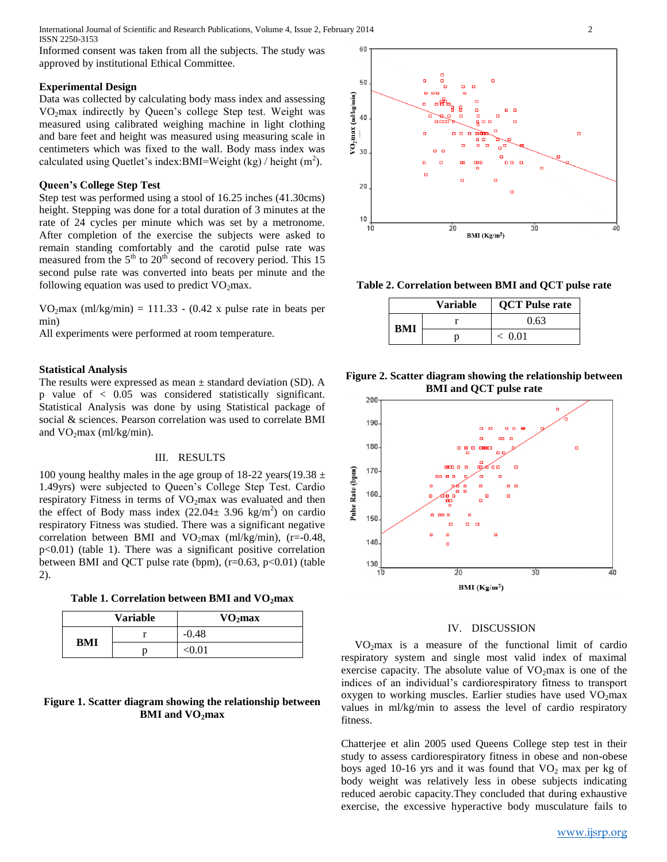International Journal of Scientific and Research Publications, Volume 4, Issue 2, February 2014 2 ISSN 2250-3153

Informed consent was taken from all the subjects. The study was approved by institutional Ethical Committee.

#### **Experimental Design**

Data was collected by calculating body mass index and assessing VO<sub>2</sub>max indirectly by Queen's college Step test. Weight was measured using calibrated weighing machine in light clothing and bare feet and height was measured using measuring scale in centimeters which was fixed to the wall. Body mass index was calculated using Quetlet's index: BMI=Weight  $(kg)$  / height  $(m<sup>2</sup>)$ .

### **Queen's College Step Test**

Step test was performed using a stool of 16.25 inches (41.30cms) height. Stepping was done for a total duration of 3 minutes at the rate of 24 cycles per minute which was set by a metronome. After completion of the exercise the subjects were asked to remain standing comfortably and the carotid pulse rate was measured from the 5<sup>th</sup> to 20<sup>th</sup> second of recovery period. This 15 second pulse rate was converted into beats per minute and the following equation was used to predict  $VO<sub>2</sub>max$ .

VO<sub>2</sub>max (ml/kg/min) = 111.33 - (0.42 x pulse rate in beats per min)

All experiments were performed at room temperature.

#### **Statistical Analysis**

The results were expressed as mean  $\pm$  standard deviation (SD). A p value of < 0.05 was considered statistically significant. Statistical Analysis was done by using Statistical package of social & sciences. Pearson correlation was used to correlate BMI and  $VO_2$ max (ml/kg/min).

#### III. RESULTS

100 young healthy males in the age group of 18-22 years(19.38  $\pm$ 1.49yrs) were subjected to Queen's College Step Test. Cardio respiratory Fitness in terms of  $VO<sub>2</sub>$  max was evaluated and then the effect of Body mass index  $(22.04 \pm 3.96 \text{ kg/m}^2)$  on cardio respiratory Fitness was studied. There was a significant negative correlation between BMI and VO<sub>2</sub>max (ml/kg/min), (r=-0.48, p<0.01) (table 1). There was a significant positive correlation between BMI and QCT pulse rate (bpm),  $(r=0.63, p<0.01)$  (table 2).

**Table 1. Correlation between BMI and VO2max**

| <b>Variable</b> |  | VO <sub>2</sub> max |
|-----------------|--|---------------------|
| BMI             |  | $-0.48$             |
|                 |  | < 0.01              |

# **Figure 1. Scatter diagram showing the relationship between BMI and VO2max**



**Table 2. Correlation between BMI and QCT pulse rate**

|     | <b>Variable</b> | <b>QCT</b> Pulse rate |
|-----|-----------------|-----------------------|
| BMI |                 | 0.63                  |
|     |                 | ~< 0.01               |

**Figure 2. Scatter diagram showing the relationship between BMI and QCT pulse rate**



#### IV. DISCUSSION

 VO2max is a measure of the functional limit of cardio respiratory system and single most valid index of maximal exercise capacity. The absolute value of  $VO<sub>2</sub>max$  is one of the indices of an individual's cardiorespiratory fitness to transport oxygen to working muscles. Earlier studies have used  $VO<sub>2</sub>$ max values in ml/kg/min to assess the level of cardio respiratory fitness.

Chatterjee et alin 2005 used Queens College step test in their study to assess cardiorespiratory fitness in obese and non-obese boys aged 10-16 yrs and it was found that  $VO_2$  max per kg of body weight was relatively less in obese subjects indicating reduced aerobic capacity.They concluded that during exhaustive exercise, the excessive hyperactive body musculature fails to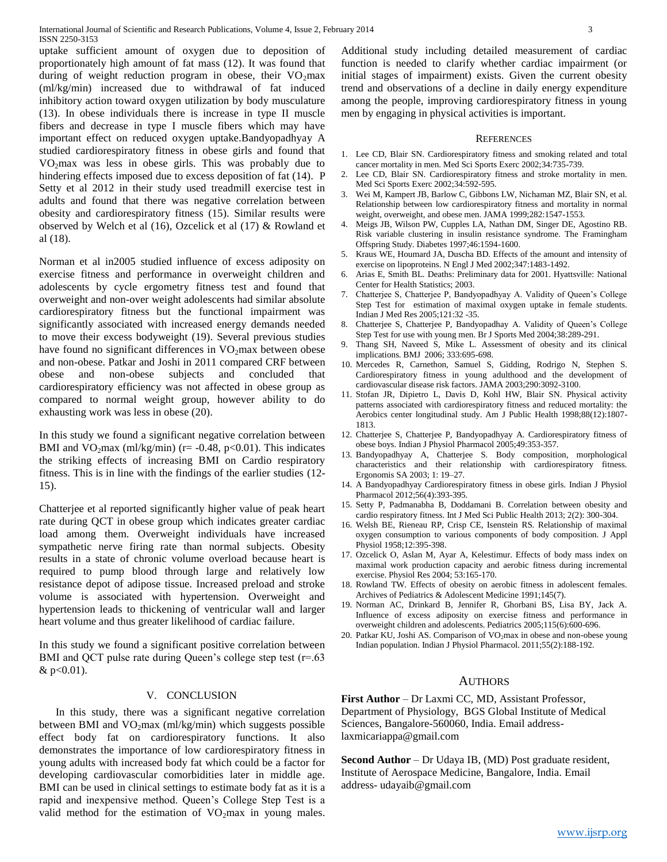uptake sufficient amount of oxygen due to deposition of proportionately high amount of fat mass (12). It was found that during of weight reduction program in obese, their  $VO<sub>2</sub>max$ (ml/kg/min) increased due to withdrawal of fat induced inhibitory action toward oxygen utilization by body musculature (13). In obese individuals there is increase in type II muscle fibers and decrease in type I muscle fibers which may have important effect on reduced oxygen uptake.Bandyopadhyay A studied cardiorespiratory fitness in obese girls and found that  $VO<sub>2</sub>max$  was less in obese girls. This was probably due to hindering effects imposed due to excess deposition of fat (14). P Setty et al 2012 in their study used treadmill exercise test in adults and found that there was negative correlation between obesity and cardiorespiratory fitness (15). Similar results were observed by Welch et al (16), Ozcelick et al (17) & Rowland et al (18).

Norman et al in2005 studied influence of excess adiposity on exercise fitness and performance in overweight children and adolescents by cycle ergometry fitness test and found that overweight and non-over weight adolescents had similar absolute cardiorespiratory fitness but the functional impairment was significantly associated with increased energy demands needed to move their excess bodyweight (19). Several previous studies have found no significant differences in  $VO<sub>2</sub>$  max between obese and non-obese. Patkar and Joshi in 2011 compared CRF between obese and non-obese subjects and concluded that cardiorespiratory efficiency was not affected in obese group as compared to normal weight group, however ability to do exhausting work was less in obese (20).

In this study we found a significant negative correlation between BMI and VO<sub>2</sub>max (ml/kg/min) (r= -0.48, p<0.01). This indicates the striking effects of increasing BMI on Cardio respiratory fitness. This is in line with the findings of the earlier studies (12- 15).

Chatterjee et al reported significantly higher value of peak heart rate during QCT in obese group which indicates greater cardiac load among them. Overweight individuals have increased sympathetic nerve firing rate than normal subjects. Obesity results in a state of chronic volume overload because heart is required to pump blood through large and relatively low resistance depot of adipose tissue. Increased preload and stroke volume is associated with hypertension. Overweight and hypertension leads to thickening of ventricular wall and larger heart volume and thus greater likelihood of cardiac failure.

In this study we found a significant positive correlation between BMI and QCT pulse rate during Queen's college step test (r=.63) & p<0.01).

#### V. CONCLUSION

 In this study, there was a significant negative correlation between BMI and  $VO<sub>2</sub>max$  (ml/kg/min) which suggests possible effect body fat on cardiorespiratory functions. It also demonstrates the importance of low cardiorespiratory fitness in young adults with increased body fat which could be a factor for developing cardiovascular comorbidities later in middle age. BMI can be used in clinical settings to estimate body fat as it is a rapid and inexpensive method. Queen's College Step Test is a valid method for the estimation of  $VO<sub>2</sub>$  max in young males.

Additional study including detailed measurement of cardiac function is needed to clarify whether cardiac impairment (or initial stages of impairment) exists. Given the current obesity trend and observations of a decline in daily energy expenditure among the people, improving cardiorespiratory fitness in young men by engaging in physical activities is important.

#### **REFERENCES**

- 1. Lee CD, Blair SN. Cardiorespiratory fitness and smoking related and total cancer mortality in men. Med Sci Sports Exerc 2002;34:735-739.
- 2. Lee CD, Blair SN. Cardiorespiratory fitness and stroke mortality in men. Med Sci Sports Exerc 2002;34:592-595.
- 3. Wei M, Kampert JB, Barlow C, Gibbons LW, Nichaman MZ, Blair SN, et al. Relationship between low cardiorespiratory fitness and mortality in normal weight, overweight, and obese men. JAMA 1999;282:1547-1553.
- 4. Meigs JB, Wilson PW, Cupples LA, Nathan DM, Singer DE, Agostino RB. Risk variable clustering in insulin resistance syndrome. The Framingham Offspring Study. Diabetes 1997;46:1594-1600.
- 5. Kraus WE, Houmard JA, Duscha BD. Effects of the amount and intensity of exercise on lipoproteins. N Engl J Med 2002;347:1483-1492.
- 6. Arias E, Smith BL. Deaths: Preliminary data for 2001. Hyattsville: National Center for Health Statistics; 2003.
- 7. Chatterjee S, Chatterjee P, Bandyopadhyay A. Validity of Queen's College Step Test for estimation of maximal oxygen uptake in female students. Indian J Med Res 2005;121:32 -35.
- 8. Chatterjee S, Chatterjee P, Bandyopadhay A. Validity of Queen's College Step Test for use with young men. Br J Sports Med 2004;38:289-291.
- 9. Thang SH, Naveed S, Mike L. Assessment of obesity and its clinical implications. BMJ 2006; 333:695-698.
- 10. Mercedes R, Carnethon, Samuel S, Gidding, Rodrigo N, Stephen S. Cardiorespiratory fitness in young adulthood and the development of cardiovascular disease risk factors. JAMA 2003;290:3092-3100.
- 11. Stofan JR, Dipietro L, Davis D, Kohl HW, Blair SN. Physical activity patterns associated with cardiorespiratory fitness and reduced mortality: the Aerobics center longitudinal study. Am J Public Health 1998;88(12):1807- 1813.
- 12. Chatterjee S, Chatterjee P, Bandyopadhyay A. Cardiorespiratory fitness of obese boys. Indian J Physiol Pharmacol 2005;49:353-357.
- 13. Bandyopadhyay A, Chatterjee S. Body composition, morphological characteristics and their relationship with cardiorespiratory fitness. Ergonomis SA 2003; 1: 19–27.
- 14. A Bandyopadhyay Cardiorespiratory fitness in obese girls. Indian J Physiol Pharmacol 2012;56(4):393-395.
- 15. Setty P, Padmanabha B, Doddamani B. Correlation between obesity and cardio respiratory fitness. Int J Med Sci Public Health 2013; 2(2): 300-304.
- 16. Welsh BE, Rieneau RP, Crisp CE, Isenstein RS. Relationship of maximal oxygen consumption to various components of body composition. J Appl Physiol 1958;12:395-398.
- 17. Ozcelick O, Aslan M, Ayar A, Kelestimur. Effects of body mass index on maximal work production capacity and aerobic fitness during incremental exercise. Physiol Res 2004; 53:165-170.
- 18. Rowland TW. Effects of obesity on aerobic fitness in adolescent females. Archives of Pediatrics & Adolescent Medicine 1991;145(7).
- 19. Norman AC, Drinkard B, Jennifer R, Ghorbani BS, Lisa BY, Jack A. Influence of excess adiposity on exercise fitness and performance in overweight children and adolescents. Pediatrics 2005;115(6):600-696.
- 20. Patkar KU, Joshi AS. Comparison of VO<sub>2</sub>max in obese and non-obese young Indian population. Indian J Physiol Pharmacol. 2011;55(2):188-192.

# AUTHORS

**First Author** – Dr Laxmi CC, MD, Assistant Professor, Department of Physiology, BGS Global Institute of Medical Sciences, Bangalore-560060, India. Email addresslaxmicariappa@gmail.com

**Second Author** – Dr Udaya IB, (MD) Post graduate resident, Institute of Aerospace Medicine, Bangalore, India. Email address- udayaib@gmail.com